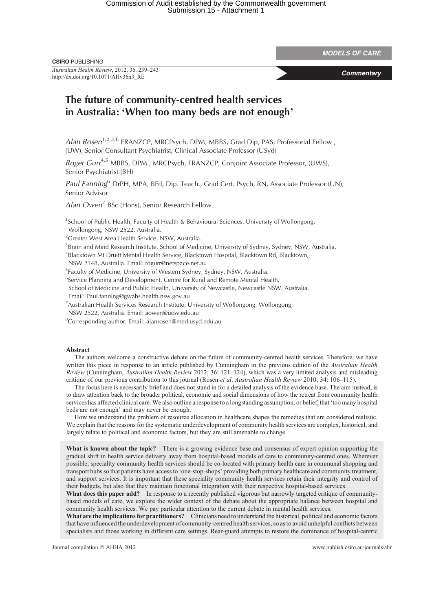*Australian Health Review*, 2012, 36, 239–243 **Commentary Commentary Commentary Commentary Commentary** 

MODELS OF CARE

# **The future of community-centred health services in Australia:** '**When too many beds are not enough**'

*Alan Rosen*1,2,3,8 FRANZCP, MRCPsych, DPM, MBBS, Grad Dip, PAS, Professorial Fellow , (UW), Senior Consultant Psychiatrist, Clinical Associate Professor (USyd)

*Roger Gurr*4,5 MBBS, DPM., MRCPsych, FRANZCP, Conjoint Associate Professor, (UWS), Senior Psychiatrist (BH)

Paul Fanning<sup>6</sup> DrPH, MPA, BEd, Dip. Teach., Grad Cert. Psych, RN, Associate Professor (UN), Senior Advisor

*Alan Owen*<sup>7</sup> BSc (Hons), Senior Research Fellow

<sup>1</sup>School of Public Health, Faculty of Health & Behavioural Sciences, University of Wollongong, Wollongong, NSW 2522, Australia.

<sup>2</sup> Greater West Area Health Service, NSW, Australia.

<sup>3</sup> Brain and Mind Research Institute, School of Medicine, University of Sydney, Sydney, NSW, Australia.

<sup>4</sup>Blacktown Mt Druitt Mental Health Service, Blacktown Hospital, Blacktown Rd, Blacktown,

NSW 2148, Australia. Email: rogurr@netspace.net.au

<sup>5</sup> Faculty of Medicine, University of Western Sydney, Sydney, NSW, Australia.

<sup>6</sup>Service Planning and Development, Centre for Rural and Remote Mental Health,

School of Medicine and Public Health, University of Newcastle, Newcastle NSW, Australia.

Email: Paul.fanning@gwahs.health.nsw.gov.au

<sup>7</sup> Australian Health Services Research Institute, University of Wollongong, Wollongong,

NSW 2522, Australia. Email: aowen@uow.edu.au

<sup>8</sup>Corresponding author. Email: alanrosen@med.usyd.edu.au

## **Abstract**

The authors welcome a constructive debate on the future of community-centred health services. Therefore, we have written this piece in response to an article published by Cunningham in the previous edition of the *Australian Health Review* (Cunningham, *Australian Health Review* 2012; 36: 121–124), which was a very limited analysis and misleading critique of our previous contribution to this journal (Rosen *et al*. *Australian Health Review* 2010; 34: 106–115).

The focus here is necessarily brief and does not stand in for a detailed analysis of the evidence base. The aim instead, is to draw attention back to the broader political, economic and social dimensions of how the retreat from community health services has affected clinical care. We also outline a response to a longstanding assumption, or belief, that 'too many hospital beds are not enough' and may never be enough.

How we understand the problem of resource allocation in healthcare shapes the remedies that are considered realistic. We explain that the reasons for the systematic underdevelopment of community health services are complex, historical, and largely relate to political and economic factors, but they are still amenable to change.

**What is known about the topic?** There is a growing evidence base and consensus of expert opinion supporting the gradual shift in health service delivery away from hospital-based models of care to community-centred ones. Wherever possible, speciality community health services should be co-located with primary health care in communal shopping and transport hubs so that patients have access to 'one-stop-shops' providing both primary healthcare and community treatment, and support services. It is important that these speciality community health services retain their integrity and control of their budgets, but also that they maintain functional integration with their respective hospital-based services.

What does this paper add? In response to a recently published vigorous but narrowly targeted critique of communitybased models of care, we explore the wider context of the debate about the appropriate balance between hospital and community health services. We pay particular attention to the current debate in mental health services.

**What are the implications for practitioners?** Clinicians need to understand the historical, political and economic factors that have influenced the underdevelopment of community-centred health services, so as to avoid unhelpful conflicts between specialists and those working in different care settings. Rear-guard attempts to restore the dominance of hospital-centric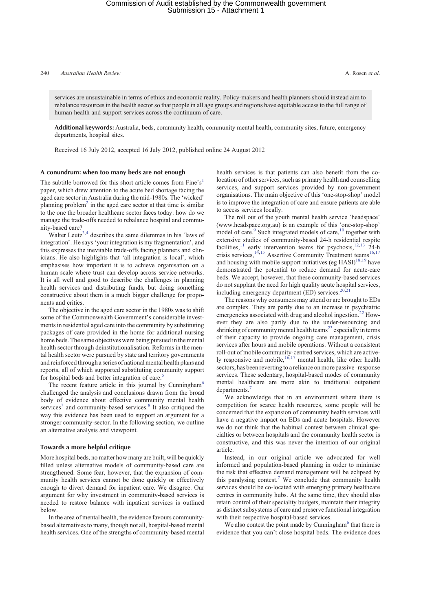240 *Australian Health Review* A. Rosen *et al*.

services are unsustainable in terms of ethics and economic reality. Policy-makers and health planners should instead aim to rebalance resources in the health sector so that people in all age groups and regions have equitable access to the full range of human health and support services across the continuum of care.

**Additional keywords:** Australia, beds, community health, community mental health, community sites, future, emergency departments, hospital sites.

Received 16 July 2012, accepted 16 July 2012, published online 24 August 2012

## **A conundrum: when too many beds are not enough**

The subtitle borrowed for this short article comes from Fine's<sup>1</sup> paper, which drew attention to the acute bed shortage facing the aged care sector in Australia during the mid-1980s. The 'wicked' planning problem<sup>2</sup> in the aged care sector at that time is similar to the one the broader healthcare sector faces today: how do we manage the trade-offs needed to rebalance hospital and community-based care?

Walter Leutz<sup>3,4</sup> describes the same dilemmas in his 'laws of integration'. He says 'your integration is my fragmentation', and this expresses the inevitable trade-offs facing planners and clinicians. He also highlights that 'all integration is local', which emphasises how important it is to achieve organisation on a human scale where trust can develop across service networks. It is all well and good to describe the challenges in planning health services and distributing funds, but doing something constructive about them is a much bigger challenge for proponents and critics.

The objective in the aged care sector in the 1980s was to shift some of the Commonwealth Government's considerable investments in residential aged care into the community by substituting packages of care provided in the home for additional nursing home beds. The same objectives were being pursued in the mental health sector through deinstitutionalisation. Reforms in the mental health sector were pursued by state and territory governments and reinforced through a series of national mental health plans and reports, all of which supported substituting community support for hospital beds and better integration of care.<sup>5</sup>

The recent feature article in this journal by Cunningham<sup>6</sup> challenged the analysis and conclusions drawn from the broad body of evidence about effective community mental health services $\sigma$  and community-based services.<sup>8</sup> It also critiqued the way this evidence has been used to support an argument for a stronger community-sector. In the following section, we outline an alternative analysis and viewpoint.

# **Towards a more helpful critique**

More hospital beds, no matter how many are built, will be quickly filled unless alternative models of community-based care are strengthened. Some fear, however, that the expansion of community health services cannot be done quickly or effectively enough to divert demand for inpatient care. We disagree. Our argument for why investment in community-based services is needed to restore balance with inpatient services is outlined below.

In the area of mental health, the evidence favours communitybased alternatives to many, though not all, hospital-based mental health services. One of the strengths of community-based mental health services is that patients can also benefit from the colocation of other services, such as primary health and counselling services, and support services provided by non-government organisations. The main objective of this 'one-stop-shop' model is to improve the integration of care and ensure patients are able to access services locally.

The roll out of the youth mental health service 'headspace' (www.headspace.org.au) is an example of this 'one-stop-shop' model of care. $9$  Such integrated models of care,  $10$  together with extensive studies of community-based 24-h residential respite facilities,<sup>11</sup> early intervention teams for psychosis,<sup>12,13</sup> 24-h crisis services, $14,15$  Assertive Community Treatment teams<sup>16,17</sup> and housing with mobile support initiatives (eg  $HASI$ )<sup>18,19</sup> have demonstrated the potential to reduce demand for acute-care beds. We accept, however, that these community-based services do not supplant the need for high quality acute hospital services, including emergency department (ED) services.<sup>20,</sup>

The reasons why consumers may attend or are brought to EDs are complex. They are partly due to an increase in psychiatric emergencies associated with drug and alcohol ingestion.<sup>22</sup> However they are also partly due to the under-resourcing and shrinking of community mental health teams<sup>23</sup> especially in terms of their capacity to provide ongoing care management, crisis services after hours and mobile operations. Without a consistent roll-out of mobile community-centred services, which are actively responsive and mobile, $16,17$  mental health, like other health sectors, has been reverting to a reliance on more passive–response services. These sedentary, hospital-based modes of community mental healthcare are more akin to traditional outpatient departments.

We acknowledge that in an environment where there is competition for scarce health resources, some people will be concerned that the expansion of community health services will have a negative impact on EDs and acute hospitals. However we do not think that the habitual contest between clinical specialties or between hospitals and the community health sector is constructive, and this was never the intention of our original article.

Instead, in our original article we advocated for well informed and population-based planning in order to minimise the risk that effective demand management will be eclipsed by this paralysing contest.<sup>7</sup> We conclude that community health services should be co-located with emerging primary healthcare centres in community hubs. At the same time, they should also retain control of their speciality budgets, maintain their integrity as distinct subsystems of care and preserve functional integration with their respective hospital-based services.

We also contest the point made by Cunningham $^6$  that there is evidence that you can't close hospital beds. The evidence does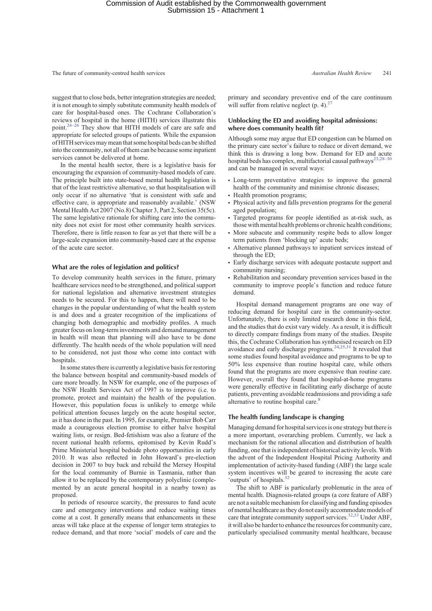The future of community-centred health services *Australian Health Review* 241

suggest that to close beds, better integration strategies are needed; it is not enough to simply substitute community health models of care for hospital-based ones. The Cochrane Collaboration's reviews of hospital in the home (HITH) services illustrate this point.24–<sup>26</sup> They show that HITH models of care are safe and appropriate for selected groups of patients. While the expansion of HITH services may mean that some hospital beds can be shifted into the community, not all of them can be because some inpatient services cannot be delivered at home.

In the mental health sector, there is a legislative basis for encouraging the expansion of community-based models of care. The principle built into state-based mental health legislation is that of the least restrictive alternative, so that hospitalisation will only occur if no alternative 'that is consistent with safe and effective care, is appropriate and reasonably available.' (NSW Mental Health Act 2007 (No.8) Chapter 3, Part 2, Section 35(5c). The same legislative rationale for shifting care into the community does not exist for most other community health services. Therefore, there is little reason to fear as yet that there will be a large-scale expansion into community-based care at the expense of the acute care sector.

# **What are the roles of legislation and politics?**

To develop community health services in the future, primary healthcare services need to be strengthened, and political support for national legislation and alternative investment strategies needs to be secured. For this to happen, there will need to be changes in the popular understanding of what the health system is and does and a greater recognition of the implications of changing both demographic and morbidity profiles. A much greater focus on long-term investments and demand management in health will mean that planning will also have to be done differently. The health needs of the whole population will need to be considered, not just those who come into contact with hospitals.

In some states there is currently a legislative basis for restoring the balance between hospital and community-based models of care more broadly. In NSW for example, one of the purposes of the NSW Health Services Act of 1997 is to improve (i.e. to promote, protect and maintain) the health of the population. However, this population focus is unlikely to emerge while political attention focuses largely on the acute hospital sector, as it has done in the past. In 1995, for example, Premier Bob Carr made a courageous election promise to either halve hospital waiting lists, or resign. Bed-fetishism was also a feature of the recent national health reforms, epitomised by Kevin Rudd's Prime Ministerial hospital bedside photo opportunities in early 2010. It was also reflected in John Howard's pre-election decision in 2007 to buy back and rebuild the Mersey Hospital for the local community of Burnie in Tasmania, rather than allow it to be replaced by the contemporary polyclinic (complemented by an acute general hospital in a nearby town) as proposed.

In periods of resource scarcity, the pressures to fund acute care and emergency interventions and reduce waiting times come at a cost. It generally means that enhancements in these areas will take place at the expense of longer term strategies to reduce demand, and that more 'social' models of care and the

primary and secondary preventive end of the care continuum will suffer from relative neglect  $(p, 4)$ .<sup>27</sup>

# **Unblocking the ED and avoiding hospital admissions: where does community health fit?**

Although some may argue that ED congestion can be blamed on the primary care sector's failure to reduce or divert demand, we think this is drawing a long bow. Demand for ED and acute hospital beds has complex, multifactorial causal pathways<sup>23,28–30</sup> and can be managed in several ways:

- \* Long-term preventative strategies to improve the general health of the community and minimise chronic diseases;
- Health promotion programs;
- \* Physical activity and falls prevention programs for the general aged population;
- Targeted programs for people identified as at-risk such, as those with mental health problems or chronic health conditions;
- More subacute and community respite beds to allow longer term patients from 'blocking up' acute beds;
- \* Alternative planned pathways to inpatient services instead of through the ED;
- \* Early discharge services with adequate postacute support and community nursing;
- Rehabilitation and secondary prevention services based in the community to improve people's function and reduce future demand.

Hospital demand management programs are one way of reducing demand for hospital care in the community-sector. Unfortunately, there is only limited research done in this field, and the studies that do exist vary widely. As a result, it is difficult to directly compare findings from many of the studies. Despite this, the Cochrane Collaboration has synthesised research on ED avoidance and early discharge programs.<sup>24,25,31</sup> It revealed that some studies found hospital avoidance and programs to be up to 50% less expensive than routine hospital care, while others found that the programs are more expensive than routine care. However, overall they found that hospital-at-home programs were generally effective in facilitating early discharge of acute patients, preventing avoidable readmissions and providing a safe alternative to routine hospital care.<sup>8</sup>

# **The health funding landscape is changing**

Managing demand for hospital services is one strategy but there is a more important, overarching problem. Currently, we lack a mechanism for the rational allocation and distribution of health funding, one that is independent of historical activity levels. With the advent of the Independent Hospital Pricing Authority and implementation of activity-based funding (ABF) the large scale system incentives will be geared to increasing the acute care 'outputs' of hospitals.<sup>32</sup>

The shift to ABF is particularly problematic in the area of mental health. Diagnosis-related groups (a core feature of ABF) are not a suitable mechanism for classifying and funding episodes of mental healthcare as they do not easily accommodate models of care that integrate community support services.<sup>32,33</sup> Under ABF, it will also be harder to enhance the resources for community care, particularly specialised community mental healthcare, because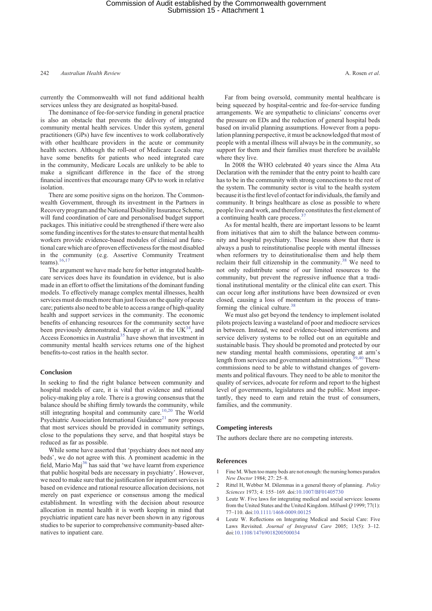242 *Australian Health Review* A. Rosen *et al*.

currently the Commonwealth will not fund additional health services unless they are designated as hospital-based.

The dominance of fee-for-service funding in general practice is also an obstacle that prevents the delivery of integrated community mental health services. Under this system, general practitioners (GPs) have few incentives to work collaboratively with other healthcare providers in the acute or community health sectors. Although the roll-out of Medicare Locals may have some benefits for patients who need integrated care in the community, Medicare Locals are unlikely to be able to make a significant difference in the face of the strong financial incentives that encourage many GPs to work in relative isolation.

There are some positive signs on the horizon. The Commonwealth Government, through its investment in the Partners in Recovery program andthe National Disability Insurance Scheme, will fund coordination of care and personalised budget support packages. This initiative could be strengthened if there were also some funding incentives for the states to ensure that mental health workers provide evidence-based modules of clinical and functional care which are of proven effectiveness for the most disabled in the community (e.g. Assertive Community Treatment teams). $16,17$ 

The argument we have made here for better integrated healthcare services does have its foundation in evidence, but is also made in an effort to offset the limitations of the dominant funding models. To effectively manage complex mental illnesses, health services must do much more than just focus on the quality of acute care; patients also need to be able to access a range of high-quality health and support services in the community. The economic benefits of enhancing resources for the community sector have been previously demonstrated. Knapp *et al*. in the UK<sup>34</sup>, and Access Economics in Australia<sup>35</sup> have shown that investment in community mental health services returns one of the highest benefits-to-cost ratios in the health sector.

## **Conclusion**

In seeking to find the right balance between community and hospital models of care, it is vital that evidence and rational policy-making play a role. There is a growing consensus that the balance should be shifting firmly towards the community, while still integrating hospital and community care.<sup>10,20</sup> The World Psychiatric Association International Guidance<sup>21</sup> now proposes that most services should be provided in community settings, close to the populations they serve, and that hospital stays be reduced as far as possible.

While some have asserted that 'psychiatry does not need any beds', we do not agree with this. A prominent academic in the field, Mario Maj<sup>36</sup> has said that 'we have learnt from experience that public hospital beds are necessary in psychiatry'. However, we need to make sure that the justification for inpatient services is based on evidence and rational resource allocation decisions, not merely on past experience or consensus among the medical establishment. In wrestling with the decision about resource allocation in mental health it is worth keeping in mind that psychiatric inpatient care has never been shown in any rigorous studies to be superior to comprehensive community-based alternatives to inpatient care.

Far from being oversold, community mental healthcare is being squeezed by hospital-centric and fee-for-service funding arrangements. We are sympathetic to clinicians' concerns over the pressure on EDs and the reduction of general hospital beds based on invalid planning assumptions. However from a population planning perspective, it must be acknowledged that most of people with a mental illness will always be in the community, so support for them and their families must therefore be available where they live.

In 2008 the WHO celebrated 40 years since the Alma Ata Declaration with the reminder that the entry point to health care has to be in the community with strong connections to the rest of the system. The community sector is vital to the health system because it is the first level of contact for individuals, the family and community. It brings healthcare as close as possible to where people live and work, and therefore constitutes the first element of a continuing health care process.<sup>37</sup>

As for mental health, there are important lessons to be learnt from initiatives that aim to shift the balance between community and hospital psychiatry. These lessons show that there is always a push to reinstitutionalise people with mental illnesses when reformers try to deinstitutionalise them and help them reclaim their full citizenship in the community.<sup>38</sup> We need to not only redistribute some of our limited resources to the community, but prevent the regressive influence that a traditional institutional mentality or the clinical elite can exert. This can occur long after institutions have been downsized or even closed, causing a loss of momentum in the process of transforming the clinical culture.<sup>38</sup>

We must also get beyond the tendency to implement isolated pilots projects leaving a wasteland of poor and mediocre services in between. Instead, we need evidence-based interventions and service delivery systems to be rolled out on an equitable and sustainable basis. They should be promoted and protected by our new standing mental health commissions, operating at arm's length from services and government administrations.39,40 These commissions need to be able to withstand changes of governments and political flavours. They need to be able to monitor the quality of services, advocate for reform and report to the highest level of governments, legislatures and the public. Most importantly, they need to earn and retain the trust of consumers, families, and the community.

## **Competing interests**

The authors declare there are no competing interests.

#### **References**

- 1 Fine M. When too many beds are not enough: the nursing homes paradox *New Doctor* 1984; 27: 25–8.
- 2 Rittel H, Webber M. Dilemmas in a general theory of planning. *Policy Sciences* 1973; 4: 155–169. doi:10.1007/BF01405730
- 3 Leutz W. Five laws for integrating medical and social services: lessons from the United States and the United Kingdom. *Milbank Q* 1999; 77(1): 77–110. doi:10.1111/1468-0009.00125
- Leutz W. Reflections on Integrating Medical and Social Care: Five Laws Revisited. *Journal of Integrated Care* 2005; 13(5): 3–12. doi:10.1108/14769018200500034